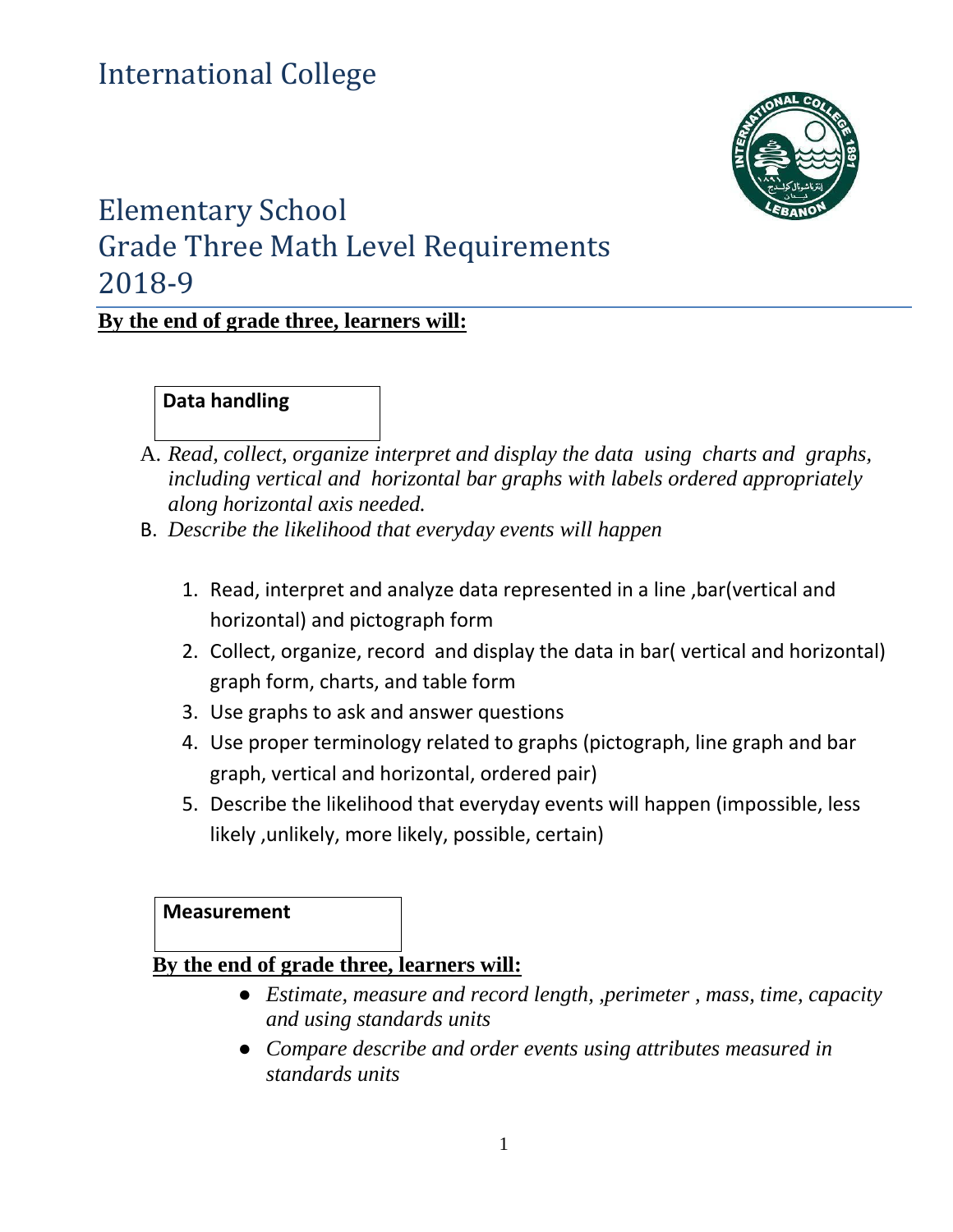# International College



## Elementary School Grade Three Math Level Requirements 2018-9

## **By the end of grade three, learners will:**

#### **Data handling**

- A. *Read, collect, organize interpret and display the data using charts and graphs, including vertical and horizontal bar graphs with labels ordered appropriately along horizontal axis needed.*
- B. *Describe the likelihood that everyday events will happen*
	- 1. Read, interpret and analyze data represented in a line ,bar(vertical and horizontal) and pictograph form
	- 2. Collect, organize, record and display the data in bar( vertical and horizontal) graph form, charts, and table form
	- 3. Use graphs to ask and answer questions
	- 4. Use proper terminology related to graphs (pictograph, line graph and bar graph, vertical and horizontal, ordered pair)
	- 5. Describe the likelihood that everyday events will happen (impossible, less likely ,unlikely, more likely, possible, certain)

**Measurement**

#### **By the end of grade three, learners will:**

- *Estimate, measure and record length, ,perimeter , mass, time, capacity and using standards units*
- *Compare describe and order events using attributes measured in standards units*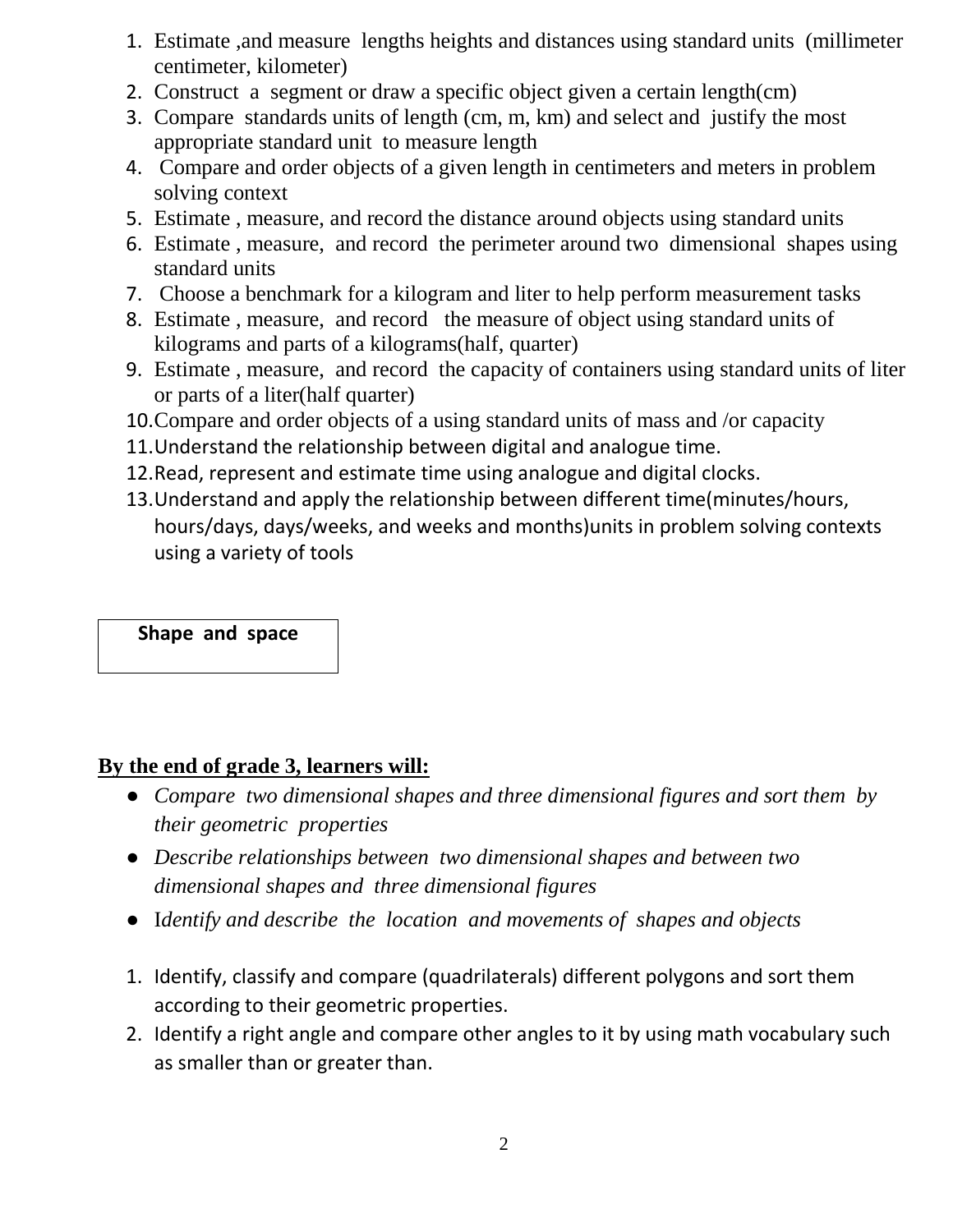- 1. Estimate ,and measure lengths heights and distances using standard units (millimeter centimeter, kilometer)
- 2. Construct a segment or draw a specific object given a certain length(cm)
- 3. Compare standards units of length (cm, m, km) and select and justify the most appropriate standard unit to measure length
- 4. Compare and order objects of a given length in centimeters and meters in problem solving context
- 5. Estimate , measure, and record the distance around objects using standard units
- 6. Estimate , measure, and record the perimeter around two dimensional shapes using standard units
- 7. Choose a benchmark for a kilogram and liter to help perform measurement tasks
- 8. Estimate , measure, and record the measure of object using standard units of kilograms and parts of a kilograms(half, quarter)
- 9. Estimate , measure, and record the capacity of containers using standard units of liter or parts of a liter(half quarter)
- 10.Compare and order objects of a using standard units of mass and /or capacity
- 11.Understand the relationship between digital and analogue time.
- 12.Read, represent and estimate time using analogue and digital clocks.
- 13.Understand and apply the relationship between different time(minutes/hours, hours/days, days/weeks, and weeks and months)units in problem solving contexts using a variety of tools

#### **Shape and space**

## **By the end of grade 3, learners will:**

- *Compare two dimensional shapes and three dimensional figures and sort them by their geometric properties*
- *Describe relationships between two dimensional shapes and between two dimensional shapes and three dimensional figures*
- I*dentify and describe the location and movements of shapes and objects*
- 1. Identify, classify and compare (quadrilaterals) different polygons and sort them according to their geometric properties.
- 2. Identify a right angle and compare other angles to it by using math vocabulary such as smaller than or greater than.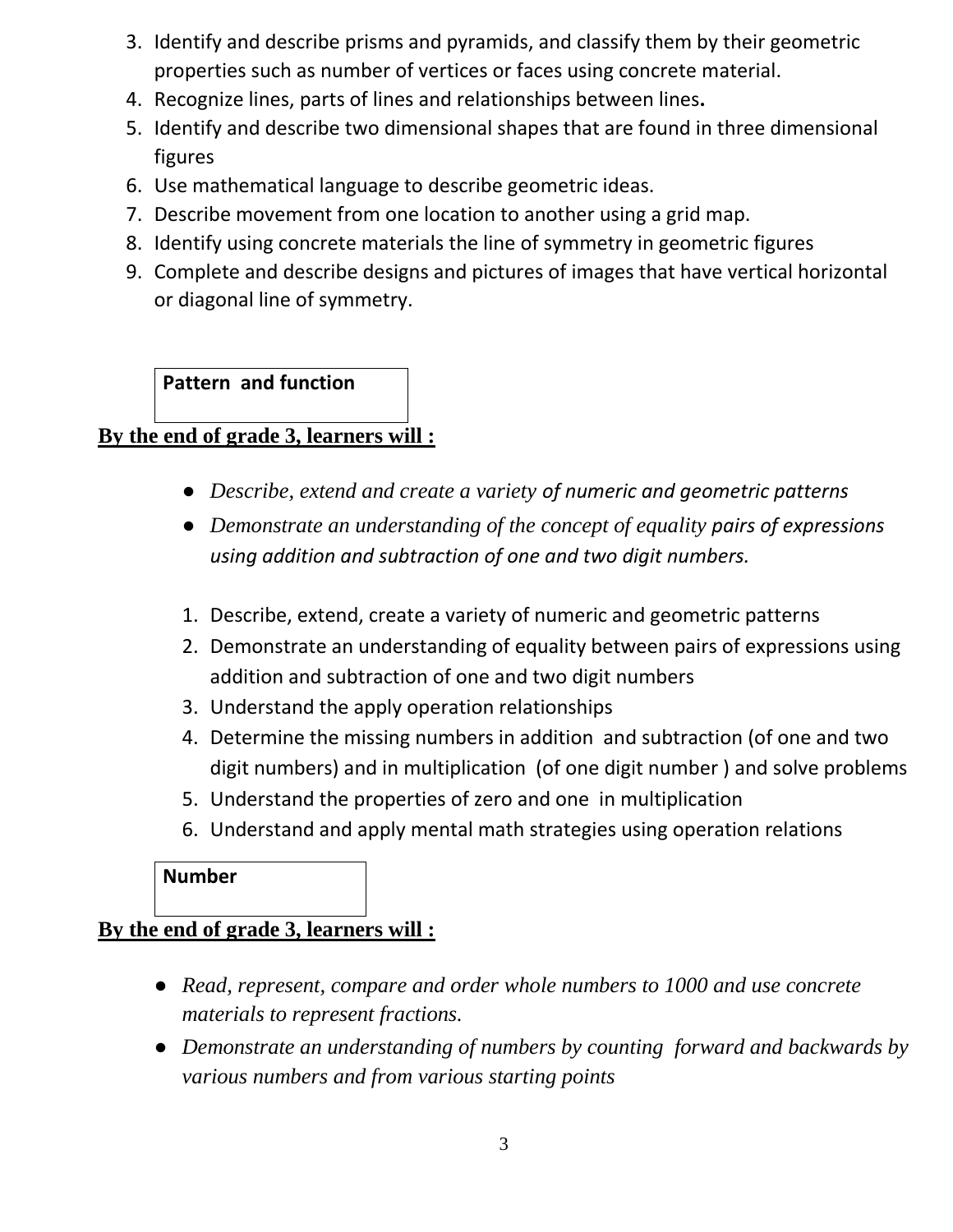- 3. Identify and describe prisms and pyramids, and classify them by their geometric properties such as number of vertices or faces using concrete material.
- 4. Recognize lines, parts of lines and relationships between lines**.**
- 5. Identify and describe two dimensional shapes that are found in three dimensional figures
- 6. Use mathematical language to describe geometric ideas.
- 7. Describe movement from one location to another using a grid map.
- 8. Identify using concrete materials the line of symmetry in geometric figures
- 9. Complete and describe designs and pictures of images that have vertical horizontal or diagonal line of symmetry.

## **Pattern and function**

## **By the end of grade 3, learners will :**

- *Describe, extend and create a variety of numeric and geometric patterns*
- *Demonstrate an understanding of the concept of equality pairs of expressions using addition and subtraction of one and two digit numbers.*
- 1. Describe, extend, create a variety of numeric and geometric patterns
- 2. Demonstrate an understanding of equality between pairs of expressions using addition and subtraction of one and two digit numbers
- 3. Understand the apply operation relationships
- 4. Determine the missing numbers in addition and subtraction (of one and two digit numbers) and in multiplication (of one digit number ) and solve problems
- 5. Understand the properties of zero and one in multiplication
- 6. Understand and apply mental math strategies using operation relations

#### **Number**

## **By the end of grade 3, learners will :**

- *Read, represent, compare and order whole numbers to 1000 and use concrete materials to represent fractions.*
- *Demonstrate an understanding of numbers by counting forward and backwards by various numbers and from various starting points*